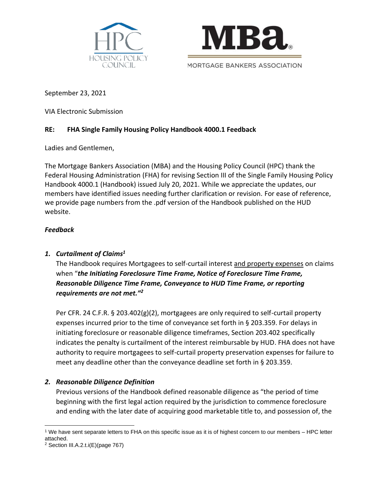



September 23, 2021

VIA Electronic Submission

## **RE: FHA Single Family Housing Policy Handbook 4000.1 Feedback**

Ladies and Gentlemen,

The Mortgage Bankers Association (MBA) and the Housing Policy Council (HPC) thank the Federal Housing Administration (FHA) for revising Section III of the Single Family Housing Policy Handbook 4000.1 (Handbook) issued July 20, 2021. While we appreciate the updates, our members have identified issues needing further clarification or revision. For ease of reference, we provide page numbers from the .pdf version of the Handbook published on the HUD website.

#### *Feedback*

#### *1. Curtailment of Claims<sup>1</sup>*

The Handbook requires Mortgagees to self-curtail interest and property expenses on claims when "*the Initiating Foreclosure Time Frame, Notice of Foreclosure Time Frame, Reasonable Diligence Time Frame, Conveyance to HUD Time Frame, or reporting requirements are not met."<sup>2</sup>*

Per CFR. 24 C.F.R. § 203.402(g)(2), mortgagees are only required to self-curtail property expenses incurred prior to the time of conveyance set forth in § 203.359. For delays in initiating foreclosure or reasonable diligence timeframes, Section 203.402 specifically indicates the penalty is curtailment of the interest reimbursable by HUD. FHA does not have authority to require mortgagees to self-curtail property preservation expenses for failure to meet any deadline other than the conveyance deadline set forth in § 203.359.

#### *2. Reasonable Diligence Definition*

Previous versions of the Handbook defined reasonable diligence as "the period of time beginning with the first legal action required by the jurisdiction to commence foreclosure and ending with the later date of acquiring good marketable title to, and possession of, the

<sup>1</sup> We have sent separate letters to FHA on this specific issue as it is of highest concern to our members – HPC letter attached.

<sup>2</sup> Section III.A.2.t.i(E)(page 767)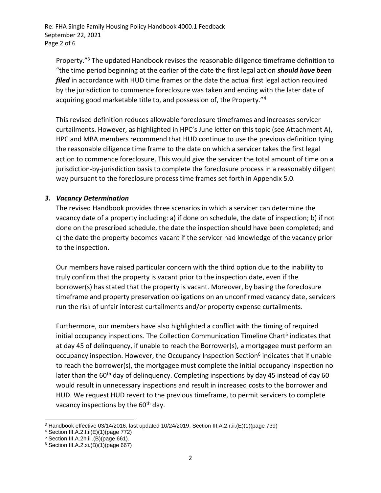Property."<sup>3</sup> The updated Handbook revises the reasonable diligence timeframe definition to "the time period beginning at the earlier of the date the first legal action *should have been filed* in accordance with HUD time frames or the date the actual first legal action required by the jurisdiction to commence foreclosure was taken and ending with the later date of acquiring good marketable title to, and possession of, the Property."<sup>4</sup>

This revised definition reduces allowable foreclosure timeframes and increases servicer curtailments. However, as highlighted in HPC's June letter on this topic (see Attachment A), HPC and MBA members recommend that HUD continue to use the previous definition tying the reasonable diligence time frame to the date on which a servicer takes the first legal action to commence foreclosure. This would give the servicer the total amount of time on a jurisdiction-by-jurisdiction basis to complete the foreclosure process in a reasonably diligent way pursuant to the foreclosure process time frames set forth in Appendix 5.0.

#### *3. Vacancy Determination*

The revised Handbook provides three scenarios in which a servicer can determine the vacancy date of a property including: a) if done on schedule, the date of inspection; b) if not done on the prescribed schedule, the date the inspection should have been completed; and c) the date the property becomes vacant if the servicer had knowledge of the vacancy prior to the inspection.

Our members have raised particular concern with the third option due to the inability to truly confirm that the property is vacant prior to the inspection date, even if the borrower(s) has stated that the property is vacant. Moreover, by basing the foreclosure timeframe and property preservation obligations on an unconfirmed vacancy date, servicers run the risk of unfair interest curtailments and/or property expense curtailments.

Furthermore, our members have also highlighted a conflict with the timing of required initial occupancy inspections. The Collection Communication Timeline Chart<sup>5</sup> indicates that at day 45 of delinquency, if unable to reach the Borrower(s), a mortgagee must perform an occupancy inspection. However, the Occupancy Inspection Section<sup>6</sup> indicates that if unable to reach the borrower(s), the mortgagee must complete the initial occupancy inspection no later than the 60<sup>th</sup> day of delinquency. Completing inspections by day 45 instead of day 60 would result in unnecessary inspections and result in increased costs to the borrower and HUD. We request HUD revert to the previous timeframe, to permit servicers to complete vacancy inspections by the  $60<sup>th</sup>$  day.

<sup>3</sup> Handbook effective 03/14/2016, last updated 10/24/2019, Section III.A.2.r.ii.(E)(1)(page 739)

<sup>4</sup> Section III.A.2.t.ii(E)(1)(page 772)

<sup>5</sup> Section III.A.2h.iii.(B)(page 661).

<sup>6</sup> Section III.A.2.xi.(B)(1)(page 667)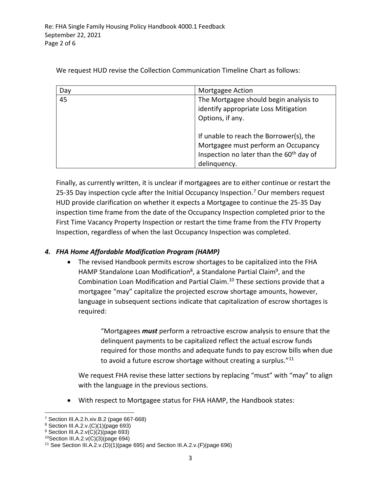| Day | Mortgagee Action                                                                                                                                       |  |
|-----|--------------------------------------------------------------------------------------------------------------------------------------------------------|--|
| 45  | The Mortgagee should begin analysis to<br>identify appropriate Loss Mitigation<br>Options, if any.                                                     |  |
|     | If unable to reach the Borrower(s), the<br>Mortgagee must perform an Occupancy<br>Inspection no later than the 60 <sup>th</sup> day of<br>delinquency. |  |

We request HUD revise the Collection Communication Timeline Chart as follows:

Finally, as currently written, it is unclear if mortgagees are to either continue or restart the 25-35 Day inspection cycle after the Initial Occupancy Inspection.<sup>7</sup> Our members request HUD provide clarification on whether it expects a Mortgagee to continue the 25-35 Day inspection time frame from the date of the Occupancy Inspection completed prior to the First Time Vacancy Property Inspection or restart the time frame from the FTV Property Inspection, regardless of when the last Occupancy Inspection was completed.

# *4. FHA Home Affordable Modification Program (HAMP)*

• The revised Handbook permits escrow shortages to be capitalized into the FHA HAMP Standalone Loan Modification<sup>8</sup>, a Standalone Partial Claim<sup>9</sup>, and the Combination Loan Modification and Partial Claim. <sup>10</sup> These sections provide that a mortgagee "may" capitalize the projected escrow shortage amounts, however, language in subsequent sections indicate that capitalization of escrow shortages is required:

> "Mortgagees *must* perform a retroactive escrow analysis to ensure that the delinquent payments to be capitalized reflect the actual escrow funds required for those months and adequate funds to pay escrow bills when due to avoid a future escrow shortage without creating a surplus."<sup>11</sup>

We request FHA revise these latter sections by replacing "must" with "may" to align with the language in the previous sections.

• With respect to Mortgagee status for FHA HAMP, the Handbook states:

<sup>7</sup> Section III.A.2.h.xiv.B.2 (page 667-668)

<sup>8</sup> Section III.A.2.v.(C)(1)(page 693)

 $9$  Section III.A.2. $v(C)(2)$ (page 693)

<sup>10</sup>Section III.A.2.v(C)(3)(page 694)

<sup>11</sup> See Section III.A.2.v.(D)(1)(page 695) and Section III.A.2.v.(F)(page 696)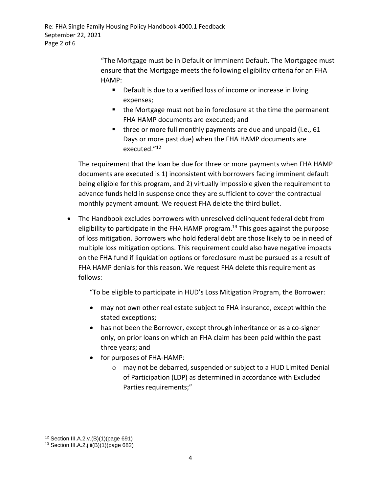> "The Mortgage must be in Default or Imminent Default. The Mortgagee must ensure that the Mortgage meets the following eligibility criteria for an FHA HAMP:

- Default is due to a verified loss of income or increase in living expenses;
- the Mortgage must not be in foreclosure at the time the permanent FHA HAMP documents are executed; and
- three or more full monthly payments are due and unpaid (i.e., 61 Days or more past due) when the FHA HAMP documents are executed." 12

The requirement that the loan be due for three or more payments when FHA HAMP documents are executed is 1) inconsistent with borrowers facing imminent default being eligible for this program, and 2) virtually impossible given the requirement to advance funds held in suspense once they are sufficient to cover the contractual monthly payment amount. We request FHA delete the third bullet.

• The Handbook excludes borrowers with unresolved delinquent federal debt from eligibility to participate in the FHA HAMP program.<sup>13</sup> This goes against the purpose of loss mitigation. Borrowers who hold federal debt are those likely to be in need of multiple loss mitigation options. This requirement could also have negative impacts on the FHA fund if liquidation options or foreclosure must be pursued as a result of FHA HAMP denials for this reason. We request FHA delete this requirement as follows:

"To be eligible to participate in HUD's Loss Mitigation Program, the Borrower:

- may not own other real estate subject to FHA insurance, except within the stated exceptions;
- has not been the Borrower, except through inheritance or as a co-signer only, on prior loans on which an FHA claim has been paid within the past three years; and
- for purposes of FHA-HAMP:
	- o may not be debarred, suspended or subject to a HUD Limited Denial of Participation (LDP) as determined in accordance with Excluded Parties requirements;"

<sup>12</sup> Section III.A.2.v.(B)(1)(page 691)

<sup>13</sup> Section III.A.2.j.ii(B)(1)(page 682)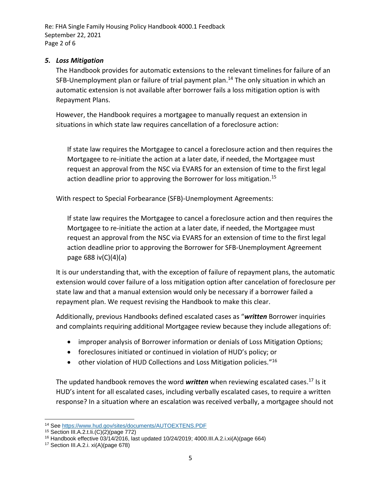#### *5. Loss Mitigation*

The Handbook provides for automatic extensions to the relevant timelines for failure of an SFB-Unemployment plan or failure of trial payment plan.<sup>14</sup> The only situation in which an automatic extension is not available after borrower fails a loss mitigation option is with Repayment Plans.

However, the Handbook requires a mortgagee to manually request an extension in situations in which state law requires cancellation of a foreclosure action:

If state law requires the Mortgagee to cancel a foreclosure action and then requires the Mortgagee to re-initiate the action at a later date, if needed, the Mortgagee must request an approval from the NSC via EVARS for an extension of time to the first legal action deadline prior to approving the Borrower for loss mitigation.<sup>15</sup>

With respect to Special Forbearance (SFB)-Unemployment Agreements:

If state law requires the Mortgagee to cancel a foreclosure action and then requires the Mortgagee to re-initiate the action at a later date, if needed, the Mortgagee must request an approval from the NSC via EVARS for an extension of time to the first legal action deadline prior to approving the Borrower for SFB-Unemployment Agreement page 688 iv(C)(4)(a)

It is our understanding that, with the exception of failure of repayment plans, the automatic extension would cover failure of a loss mitigation option after cancelation of foreclosure per state law and that a manual extension would only be necessary if a borrower failed a repayment plan. We request revising the Handbook to make this clear.

Additionally, previous Handbooks defined escalated cases as "*written* Borrower inquiries and complaints requiring additional Mortgagee review because they include allegations of:

- improper analysis of Borrower information or denials of Loss Mitigation Options;
- foreclosures initiated or continued in violation of HUD's policy; or
- other violation of HUD Collections and Loss Mitigation policies."<sup>16</sup>

The updated handbook removes the word *written* when reviewing escalated cases. <sup>17</sup> Is it HUD's intent for all escalated cases, including verbally escalated cases, to require a written response? In a situation where an escalation was received verbally, a mortgagee should not

<sup>14</sup> Se[e https://www.hud.gov/sites/documents/AUTOEXTENS.PDF](https://www.hud.gov/sites/documents/AUTOEXTENS.PDF)

<sup>15</sup> Section III.A.2.t.Ii.(C)(2)(page 772)

<sup>16</sup> Handbook effective 03/14/2016, last updated 10/24/2019; 4000.III.A.2.i.xi(A)(page 664)

<sup>&</sup>lt;sup>17</sup> Section III.A.2.i.  $xi(A)(page 678)$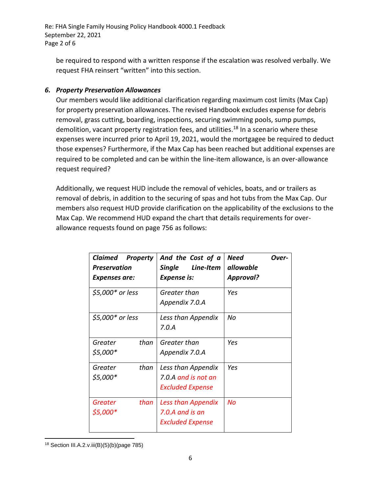be required to respond with a written response if the escalation was resolved verbally. We request FHA reinsert "written" into this section.

### *6. Property Preservation Allowances*

Our members would like additional clarification regarding maximum cost limits (Max Cap) for property preservation allowances. The revised Handbook excludes expense for debris removal, grass cutting, boarding, inspections, securing swimming pools, sump pumps, demolition, vacant property registration fees, and utilities.<sup>18</sup> In a scenario where these expenses were incurred prior to April 19, 2021, would the mortgagee be required to deduct those expenses? Furthermore, if the Max Cap has been reached but additional expenses are required to be completed and can be within the line-item allowance, is an over-allowance request required?

Additionally, we request HUD include the removal of vehicles, boats, and or trailers as removal of debris, in addition to the securing of spas and hot tubs from the Max Cap. Our members also request HUD provide clarification on the applicability of the exclusions to the Max Cap. We recommend HUD expand the chart that details requirements for overallowance requests found on page 756 as follows:

| Claimed<br><b>Property</b><br>Preservation<br>Expenses are: | And the Cost of a<br>Line-Item<br><b>Single</b><br><b>Expense is:</b> | Need<br>Over-<br>allowable<br><b>Approval?</b> |
|-------------------------------------------------------------|-----------------------------------------------------------------------|------------------------------------------------|
| \$5,000* or less                                            | Greater than<br>Appendix 7.0.A                                        | Yes                                            |
| \$5,000* or less                                            | Less than Appendix<br>7.0.A                                           | No                                             |
| than<br>Greater<br>\$5,000*                                 | Greater than<br>Appendix 7.0.A                                        | Yes                                            |
| than<br>Greater<br>\$5,000*                                 | Less than Appendix<br>7.0.A and is not an<br><b>Excluded Expense</b>  | Yes                                            |
| than<br>Greater<br>\$5,000*                                 | Less than Appendix<br>7.0.A and is an<br><b>Excluded Expense</b>      | No                                             |

<sup>18</sup> Section III.A.2.v.iii(B)(5)(b)(page 785)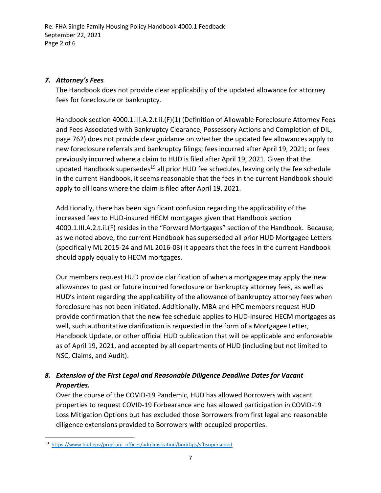#### *7. Attorney's Fees*

The Handbook does not provide clear applicability of the updated allowance for attorney fees for foreclosure or bankruptcy.

Handbook section 4000.1.III.A.2.t.ii.(F)(1) (Definition of Allowable Foreclosure Attorney Fees and Fees Associated with Bankruptcy Clearance, Possessory Actions and Completion of DIL, page 762) does not provide clear guidance on whether the updated fee allowances apply to new foreclosure referrals and bankruptcy filings; fees incurred after April 19, 2021; or fees previously incurred where a claim to HUD is filed after April 19, 2021. Given that the updated Handbook supersedes<sup>19</sup> all prior HUD fee schedules, leaving only the fee schedule in the current Handbook, it seems reasonable that the fees in the current Handbook should apply to all loans where the claim is filed after April 19, 2021.

Additionally, there has been significant confusion regarding the applicability of the increased fees to HUD-insured HECM mortgages given that Handbook section 4000.1.III.A.2.t.ii.(F) resides in the "Forward Mortgages" section of the Handbook. Because, as we noted above, the current Handbook has superseded all prior HUD Mortgagee Letters (specifically ML 2015-24 and ML 2016-03) it appears that the fees in the current Handbook should apply equally to HECM mortgages.

Our members request HUD provide clarification of when a mortgagee may apply the new allowances to past or future incurred foreclosure or bankruptcy attorney fees, as well as HUD's intent regarding the applicability of the allowance of bankruptcy attorney fees when foreclosure has not been initiated. Additionally, MBA and HPC members request HUD provide confirmation that the new fee schedule applies to HUD-insured HECM mortgages as well, such authoritative clarification is requested in the form of a Mortgagee Letter, Handbook Update, or other official HUD publication that will be applicable and enforceable as of April 19, 2021, and accepted by all departments of HUD (including but not limited to NSC, Claims, and Audit).

# *8. Extension of the First Legal and Reasonable Diligence Deadline Dates for Vacant Properties.*

Over the course of the COVID-19 Pandemic, HUD has allowed Borrowers with vacant properties to request COVID-19 Forbearance and has allowed participation in COVID-19 Loss Mitigation Options but has excluded those Borrowers from first legal and reasonable diligence extensions provided to Borrowers with occupied properties.

<sup>&</sup>lt;sup>19</sup> [https://www.hud.gov/program\\_offices/administration/hudclips/sfhsuperseded](https://www.hud.gov/program_offices/administration/hudclips/sfhsuperseded)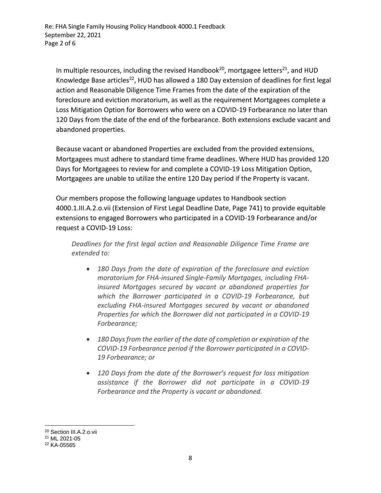In multiple resources, including the revised Handbook<sup>20</sup>, mortgagee letters<sup>21</sup>, and HUD Knowledge Base articles<sup>22</sup>, HUD has allowed a 180 Day extension of deadlines for first legal action and Reasonable Diligence Time Frames from the date of the expiration of the foreclosure and eviction moratorium, as well as the requirement Mortgagees complete a Loss Mitigation Option for Borrowers who were on a COVID-19 Forbearance no later than 120 Days from the date of the end of the forbearance. Both extensions exclude vacant and abandoned properties.

Because vacant or abandoned Properties are excluded from the provided extensions, Mortgagees must adhere to standard time frame deadlines. Where HUD has provided 120 Days for Mortgagees to review for and complete a COVID-19 Loss Mitigation Option, Mortgagees are unable to utilize the entire 120 Day period if the Property is vacant.

Our members propose the following language updates to Handbook section 4000.1.III.A.2.o.vii (Extension of First Legal Deadline Date, Page 741) to provide equitable extensions to engaged Borrowers who participated in a COVID-19 Forbearance and/or request a COVID-19 Loss:

*Deadlines for the first legal action and Reasonable Diligence Time Frame are extended to:*

- *180 Days from the date of expiration of the foreclosure and eviction moratorium for FHA-insured Single-Family Mortgages, including FHAinsured Mortgages secured by vacant or abandoned properties for which the Borrower participated in a COVID-19 Forbearance, but excluding FHA-insured Mortgages secured by vacant or abandoned Properties for which the Borrower did not participated in a COVID-19 Forbearance;*
- *180 Days from the earlier of the date of completion or expiration of the COVID-19 Forbearance period if the Borrower participated in a COVID-19 Forbearance; or*
- *120 Days from the date of the Borrower's request for loss mitigation assistance if the Borrower did not participate in a COVID-19 Forbearance and the Property is vacant or abandoned.*

<sup>20</sup> Section III.A.2.o.vii

<sup>21</sup> ML 2021-05

<sup>22</sup> KA-05565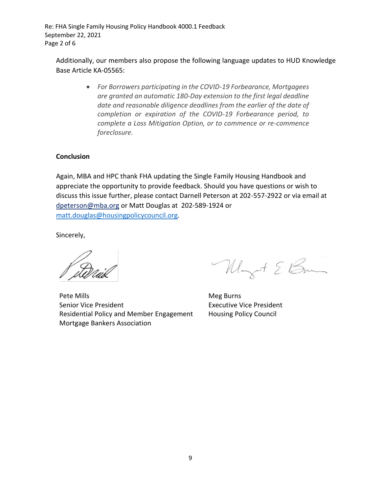Additionally, our members also propose the following language updates to HUD Knowledge Base Article KA-05565:

> • *For Borrowers participating in the COVID-19 Forbearance, Mortgagees are granted an automatic 180-Day extension to the first legal deadline date and reasonable diligence deadlines from the earlier of the date of completion or expiration of the COVID-19 Forbearance period, to complete a Loss Mitigation Option, or to commence or re-commence foreclosure.*

#### **Conclusion**

Again, MBA and HPC thank FHA updating the Single Family Housing Handbook and appreciate the opportunity to provide feedback. Should you have questions or wish to discuss this issue further, please contact Darnell Peterson at 202-557-2922 or via email at [dpeterson@mba.org](mailto:dpeterson@mba.org) or Matt Douglas at 202-589-1924 or [matt.douglas@housingpolicycouncil.org.](mailto:matt.douglas@housingpolicycouncil.org)

Sincerely,

Pete Mills Senior Vice President Residential Policy and Member Engagement Mortgage Bankers Association

Mayot & Brand

Meg Burns Executive Vice President Housing Policy Council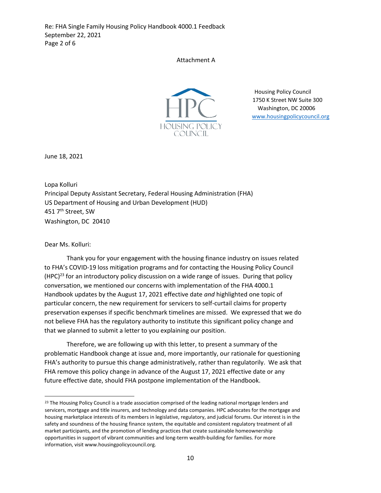Attachment A



Housing Policy Council 1750 K Street NW Suite 300 Washington, DC 20006 [www.housingpolicycouncil.org](http://www.housingpolicycouncil.org/)

June 18, 2021

Lopa Kolluri Principal Deputy Assistant Secretary, Federal Housing Administration (FHA) US Department of Housing and Urban Development (HUD) 451 7<sup>th</sup> Street, SW Washington, DC 20410

Dear Ms. Kolluri:

Thank you for your engagement with the housing finance industry on issues related to FHA's COVID-19 loss mitigation programs and for contacting the Housing Policy Council  $(HPC)^{23}$  for an introductory policy discussion on a wide range of issues. During that policy conversation, we mentioned our concerns with implementation of the FHA 4000.1 Handbook updates by the August 17, 2021 effective date *and* highlighted one topic of particular concern, the new requirement for servicers to self-curtail claims for property preservation expenses if specific benchmark timelines are missed. We expressed that we do not believe FHA has the regulatory authority to institute this significant policy change and that we planned to submit a letter to you explaining our position.

Therefore, we are following up with this letter, to present a summary of the problematic Handbook change at issue and, more importantly, our rationale for questioning FHA's authority to pursue this change administratively, rather than regulatorily. We ask that FHA remove this policy change in advance of the August 17, 2021 effective date or any future effective date, should FHA postpone implementation of the Handbook.

<sup>&</sup>lt;sup>23</sup> The Housing Policy Council is a trade association comprised of the leading national mortgage lenders and servicers, mortgage and title insurers, and technology and data companies. HPC advocates for the mortgage and housing marketplace interests of its members in legislative, regulatory, and judicial forums. Our interest is in the safety and soundness of the housing finance system, the equitable and consistent regulatory treatment of all market participants, and the promotion of lending practices that create sustainable homeownership opportunities in support of vibrant communities and long-term wealth-building for families. For more information, visit www.housingpolicycouncil.org.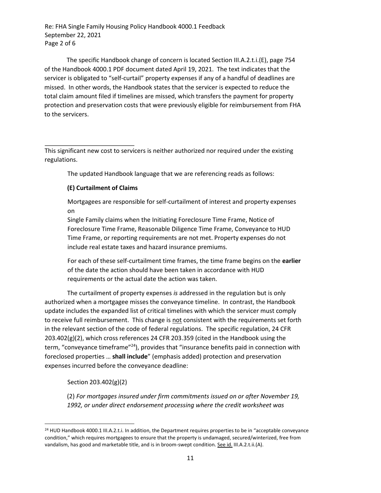The specific Handbook change of concern is located Section III.A.2.t.i.(E), page 754 of the Handbook 4000.1 PDF document dated April 19, 2021. The text indicates that the servicer is obligated to "self-curtail" property expenses if any of a handful of deadlines are missed. In other words, the Handbook states that the servicer is expected to reduce the total claim amount filed if timelines are missed, which transfers the payment for property protection and preservation costs that were previously eligible for reimbursement from FHA to the servicers.

This significant new cost to servicers is neither authorized nor required under the existing regulations.

The updated Handbook language that we are referencing reads as follows:

#### **(E) Curtailment of Claims**

Mortgagees are responsible for self-curtailment of interest and property expenses on

Single Family claims when the Initiating Foreclosure Time Frame, Notice of Foreclosure Time Frame, Reasonable Diligence Time Frame, Conveyance to HUD Time Frame, or reporting requirements are not met. Property expenses do not include real estate taxes and hazard insurance premiums.

For each of these self-curtailment time frames, the time frame begins on the **earlier** of the date the action should have been taken in accordance with HUD requirements or the actual date the action was taken.

The curtailment of property expenses *is* addressed in the regulation but is only authorized when a mortgagee misses the conveyance timeline. In contrast, the Handbook update includes the expanded list of critical timelines with which the servicer must comply to receive full reimbursement. This change is not consistent with the requirements set forth in the relevant section of the code of federal regulations. The specific regulation, 24 CFR 203.402(g)(2), which cross references 24 CFR 203.359 (cited in the Handbook using the term, "conveyance timeframe"<sup>24</sup>), provides that "insurance benefits paid in connection with foreclosed properties … **shall include**" (emphasis added) protection and preservation expenses incurred before the conveyance deadline:

Section 203.402(g)(2)

(2) *For mortgages insured under firm commitments issued on or after November 19, 1992, or under direct endorsement processing where the credit worksheet was* 

<sup>24</sup> HUD Handbook 4000.1 III.A.2.t.i. In addition, the Department requires properties to be in "acceptable conveyance condition," which requires mortgagees to ensure that the property is undamaged, secured/winterized, free from vandalism, has good and marketable title, and is in broom-swept condition. See id. III.A.2.t.ii.(A).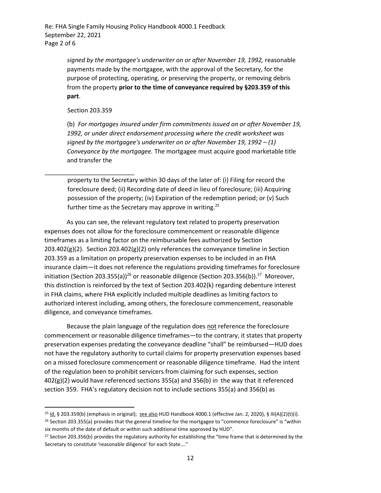> *signed by the mortgagee's underwriter on or after November 19, 1992,* reasonable payments made by the mortgagee, with the approval of the Secretary, for the purpose of protecting, operating, or preserving the property, or removing debris from the property **prior to the time of conveyance required by §203.359 of this part**.

Section 203.359

(b) *For mortgages insured under firm commitments issued on or after November 19, 1992, or under direct endorsement processing where the credit worksheet was signed by the mortgagee's underwriter on or after November 19, 1992 – (1) Conveyance by the mortgagee.* The mortgagee must acquire good marketable title and transfer the

property to the Secretary within 30 days of the later of: (i) Filing for record the foreclosure deed; (ii) Recording date of deed in lieu of foreclosure; (iii) Acquiring possession of the property; (iv) Expiration of the redemption period; or (v) Such further time as the Secretary may approve in writing.<sup>25</sup>

As you can see, the relevant regulatory text related to property preservation expenses does not allow for the foreclosure commencement or reasonable diligence timeframes as a limiting factor on the reimbursable fees authorized by Section  $203.402(g)(2)$ . Section  $203.402(g)(2)$  only references the conveyance timeline in Section 203.359 as a limitation on property preservation expenses to be included in an FHA insurance claim—it does not reference the regulations providing timeframes for foreclosure initiation (Section 203.355(a))<sup>26</sup> or reasonable diligence (Section 203.356(b)).<sup>27</sup> Moreover, this distinction is reinforced by the text of Section 203.402(k) regarding debenture interest in FHA claims, where FHA explicitly included multiple deadlines as limiting factors to authorized interest including, among others, the foreclosure commencement, reasonable diligence, and conveyance timeframes.

Because the plain language of the regulation does not reference the foreclosure commencement or reasonable diligence timeframes—to the contrary, it states that property preservation expenses predating the conveyance deadline "shall" be reimbursed—HUD does not have the regulatory authority to curtail claims for property preservation expenses based on a missed foreclosure commencement or reasonable diligence timeframe. Had the intent of the regulation been to prohibit servicers from claiming for such expenses, section  $402(g)(2)$  would have referenced sections 355(a) and 356(b) in the way that it referenced section 359. FHA's regulatory decision not to include sections 355(a) and 356(b) as

<sup>&</sup>lt;sup>25</sup> Id. § 203.359(b) (emphasis in original); see also HUD Handbook 4000.1 (effective Jan. 2, 2020), § III(A)(2)(t)(i). <sup>26</sup> Section 203.355(a) provides that the general timeline for the mortgagee to "commence foreclosure" is "within six months of the date of default or within such additional time approved by HUD".

<sup>&</sup>lt;sup>27</sup> Section 203.356(b) provides the regulatory authority for establishing the "time frame that is determined by the Secretary to constitute 'reasonable diligence' for each State…."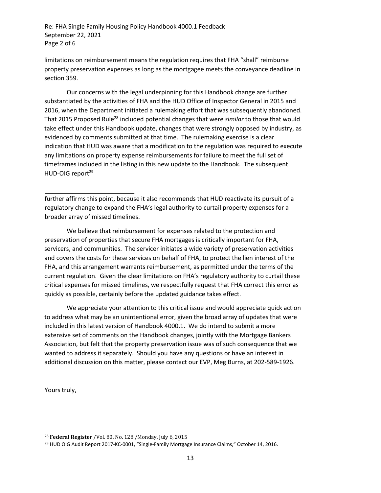limitations on reimbursement means the regulation requires that FHA "shall" reimburse property preservation expenses as long as the mortgagee meets the conveyance deadline in section 359.

Our concerns with the legal underpinning for this Handbook change are further substantiated by the activities of FHA and the HUD Office of Inspector General in 2015 and 2016, when the Department initiated a rulemaking effort that was subsequently abandoned. That 2015 Proposed Rule<sup>28</sup> included potential changes that were *similar* to those that would take effect under this Handbook update, changes that were strongly opposed by industry, as evidenced by comments submitted at that time. The rulemaking exercise is a clear indication that HUD was aware that a modification to the regulation was required to execute any limitations on property expense reimbursements for failure to meet the full set of timeframes included in the listing in this new update to the Handbook. The subsequent HUD-OIG report<sup>29</sup>

further affirms this point, because it also recommends that HUD reactivate its pursuit of a regulatory change to expand the FHA's legal authority to curtail property expenses for a broader array of missed timelines.

We believe that reimbursement for expenses related to the protection and preservation of properties that secure FHA mortgages is critically important for FHA, servicers, and communities. The servicer initiates a wide variety of preservation activities and covers the costs for these services on behalf of FHA, to protect the lien interest of the FHA, and this arrangement warrants reimbursement, as permitted under the terms of the current regulation. Given the clear limitations on FHA's regulatory authority to curtail these critical expenses for missed timelines, we respectfully request that FHA correct this error as quickly as possible, certainly before the updated guidance takes effect.

We appreciate your attention to this critical issue and would appreciate quick action to address what may be an unintentional error, given the broad array of updates that were included in this latest version of Handbook 4000.1. We do intend to submit a more extensive set of comments on the Handbook changes, jointly with the Mortgage Bankers Association, but felt that the property preservation issue was of such consequence that we wanted to address it separately. Should you have any questions or have an interest in additional discussion on this matter, please contact our EVP, Meg Burns, at 202-589-1926.

Yours truly,

<sup>28</sup> **Federal Register** /Vol. 80, No. 128 /Monday, July 6, 2015

<sup>&</sup>lt;sup>29</sup> HUD OIG Audit Report 2017-KC-0001, "Single-Family Mortgage Insurance Claims," October 14, 2016.